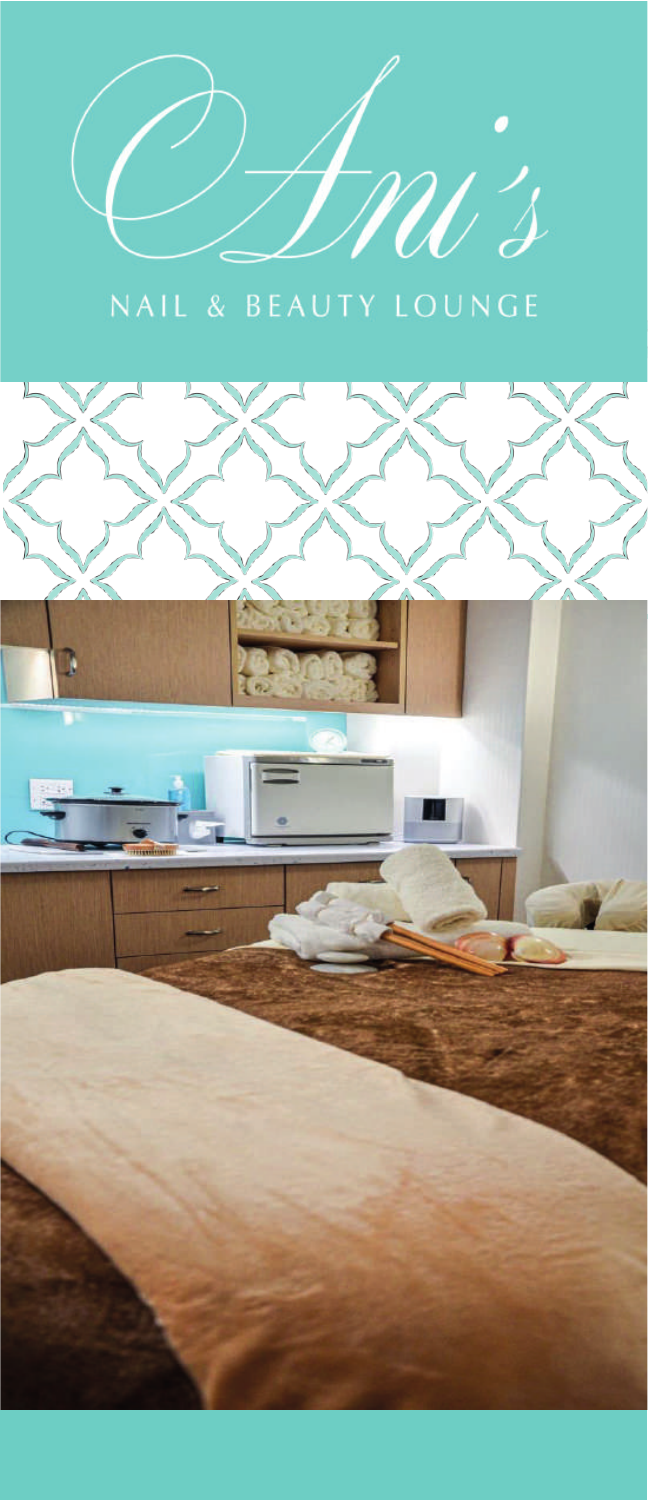

NAIL & BEAUTY LOUNGE

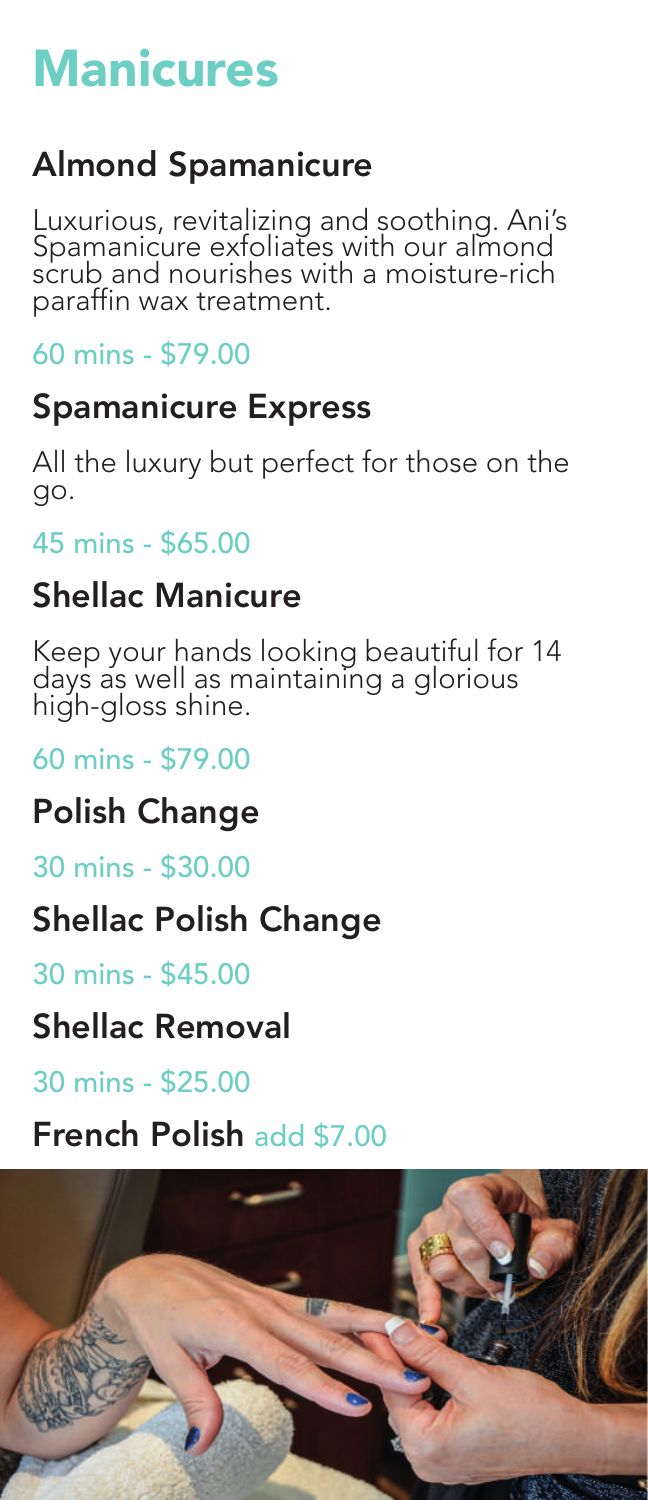# **Manicures**

# Almond Spamanicure

Luxurious, revitalizing and soothing. Ani's Spamanicure exfoliates with our almond scrub and nourishes with a moisture-rich paraffin wax treatment.

60 mins - \$79.00

# Spamanicure Express

All the luxury but perfect for those on the go.

45 mins - \$65.00

# Shellac Manicure

Keep your hands looking beautiful for 14 days as well as maintaining a glorious high-gloss shine.

60 mins - \$79.00

# Polish Change

30 mins - \$30.00

# Shellac Polish Change

30 mins - \$45.00

## Shellac Removal

30 mins - \$25.00

# French Polish add \$7.00

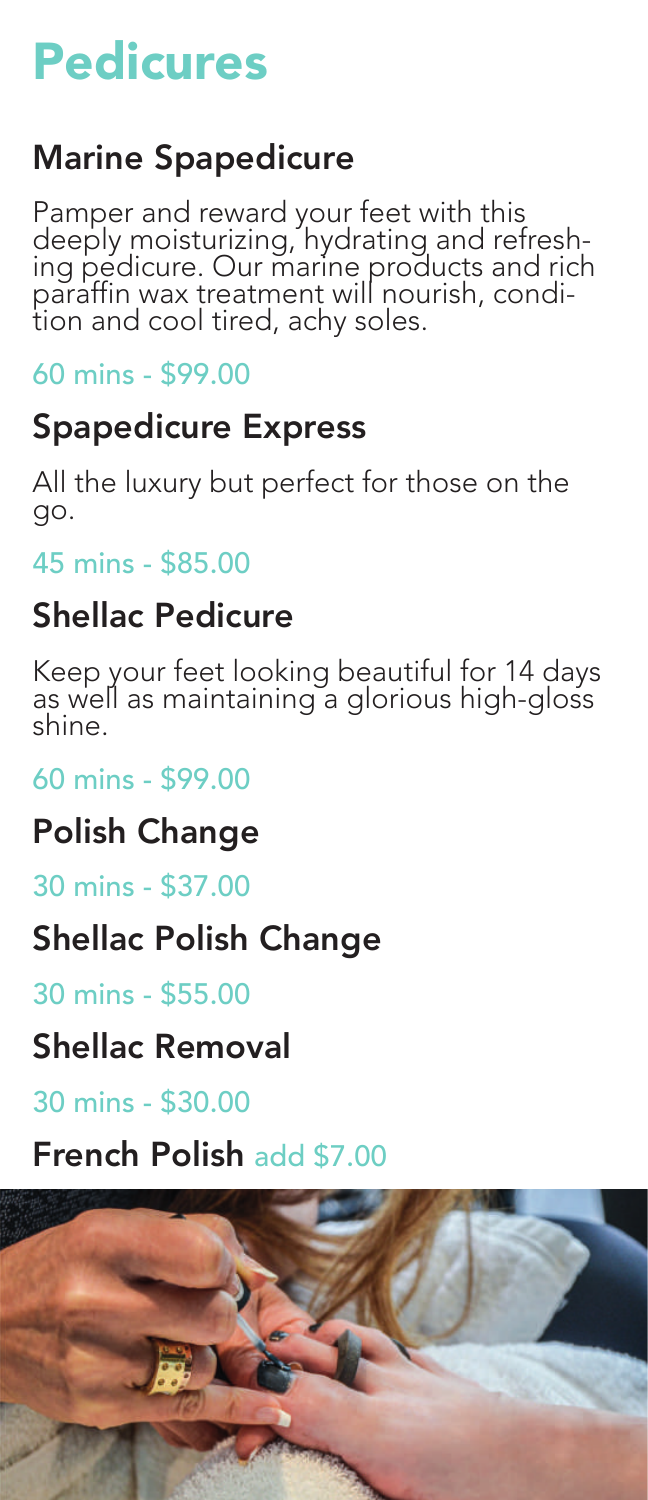# Pedicures

# Marine Spapedicure

Pamper and reward your feet with this<br>deeply moisturizing, hydrating and refreshdeeply moisturizing, hydrating and refresh-<br>ing pedicure. Our marine products and rich paraffin wax treatment will nourish, condi-<br>tion and cool tired, achy soles.

60 mins - \$99.00

# Spapedicure Express

All the luxury but perfect for those on the go.

45 mins - \$85.00

# Shellac Pedicure

Keep your feet looking beautiful for 14 days as well as maintaining a glorious high-gloss shine.

60 mins - \$99.00

# Polish Change

30 mins - \$37.00

# Shellac Polish Change

30 mins - \$55.00

# Shellac Removal

30 mins - \$30.00

# French Polish add \$7.00

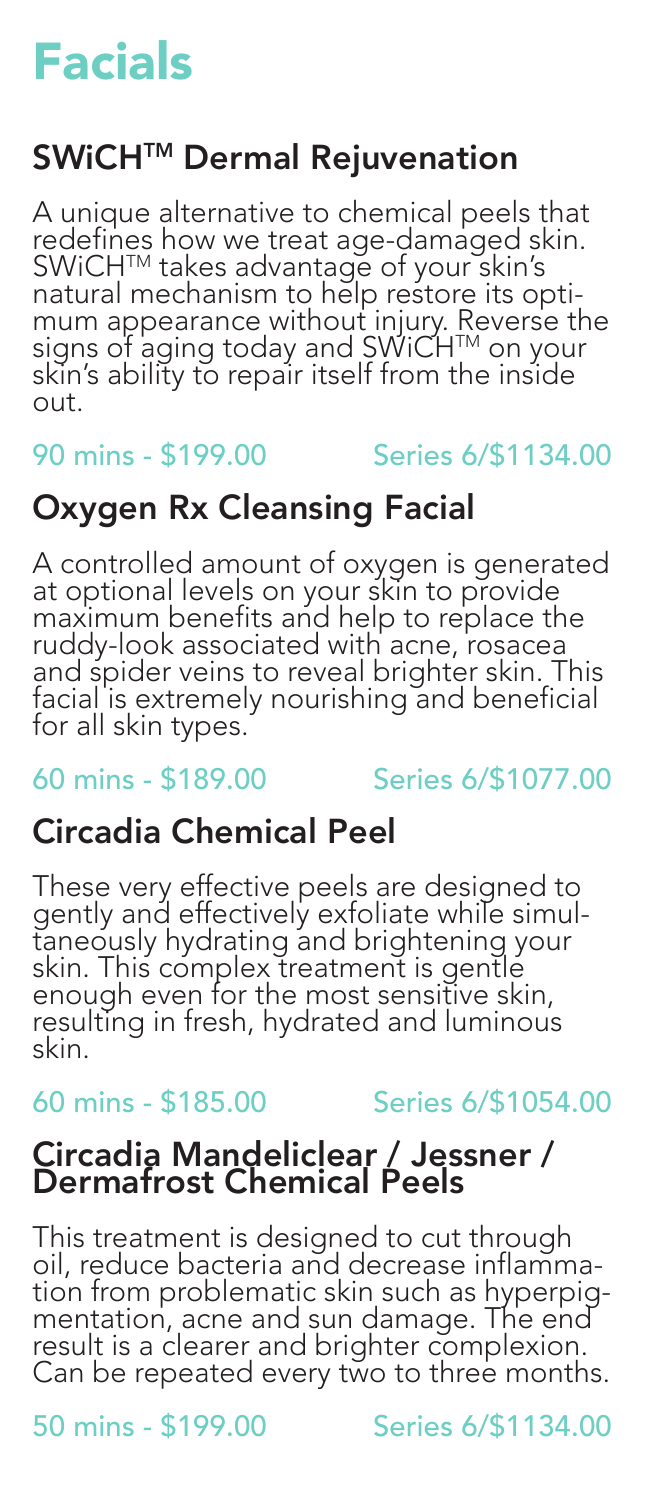# Facials

# SWiCH™ Dermal Rejuvenation

A unique alternative to chemical peels that redefines how we treat age-damaged skin. SWICHTM takes advantage of your skin's natural mechanism to help restore its optimum appearance without injury. Reverse the signs of aging today and SWiCH<sup>TM</sup> on your skin's ability to repair itself from the inside out.

## 90 mins - \$199.00 Series 6/\$1134.00

## Oxygen Rx Cleansing Facial

A controlled amount of oxygen is generated at optional levels on your skin to provide maximum benefits and help to replace the ruddy-look associated with acne, rosacea and spider veins to reveal brighter skin. This facial is extremely nourishing and beneficial for all skin types.

60 mins - \$189.00 Series 6/\$1077.00

## Circadia Chemical Peel

These very effective peels are designed to gently and effectively exfoliate while simul- taneously hydrating and brightening your skin. This complex treatment is gentle enough even for the most sensitive skin, resulting in fresh, hydrated and luminous skin.

60 mins - \$185.00 Series 6/\$1054.00

#### Circadia Mandeliclear / Jessner / Dermafrost Chemical Peels

This treatment is designed to cut through oil, reduce bacteria and decrease inflamma-<br>tion from problematic skin such as hyperpig-<br>mentation, acne and sun damage. The end result is a clearer and brighter complexion. Can be repeated every two to three months.

50 mins - \$199.00 Series 6/\$1134.00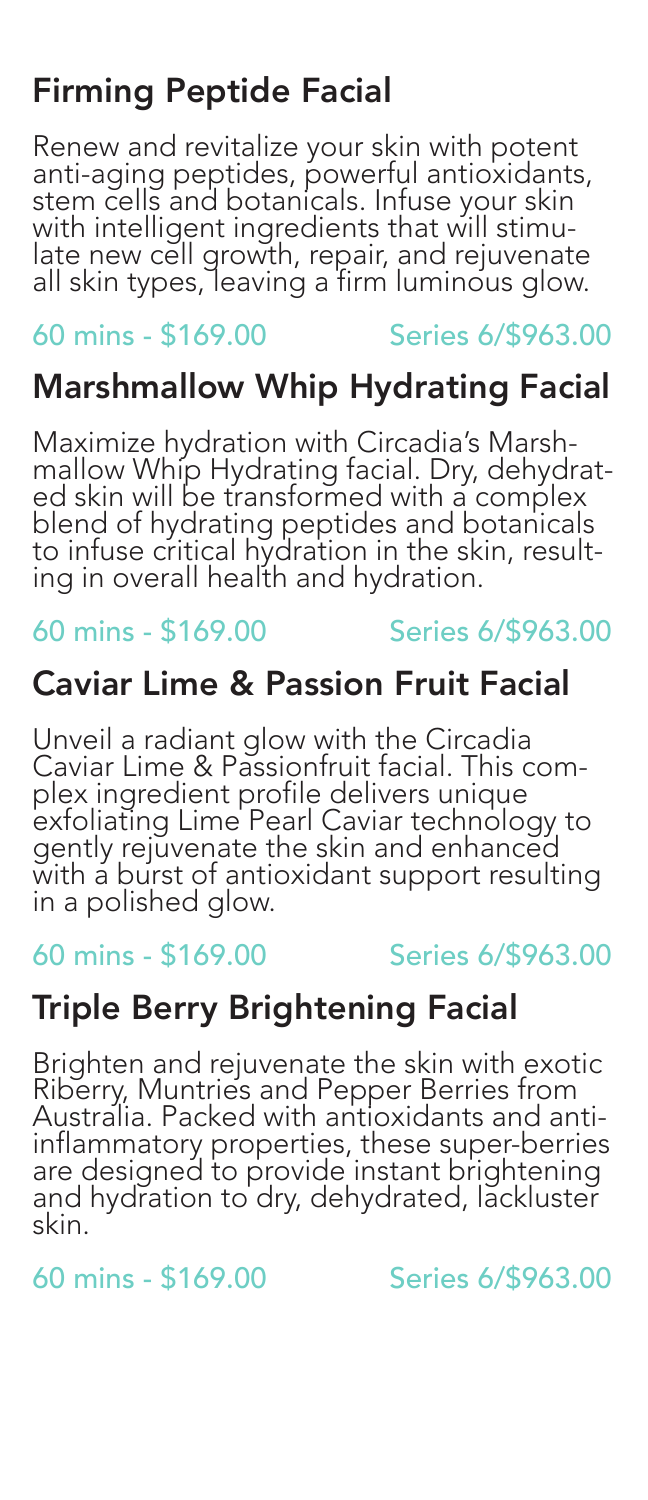# Firming Peptide Facial

Renew and revitalize your skin with potent anti-aging peptides, powerful antioxidants, stem cells and botanicals. Infuse your skin with intelligent ingredients that will stimu-<br>late new cell growth, repair, and rejuvenate all skin types, leaving a firm luminous glow.

#### 60 mins - \$169.00 Series 6/\$963.00

# Marshmallow Whip Hydrating Facial

Maximize hydration with Circadia's Marsh- mallow Whip Hydrating facial. Dry, dehydrat- ed skin will be transformed with a complex blend of hydrating peptides and botanicals to infuse critical hydration in the skin, result-<br>ing in overall health and hydration.

#### 60 mins - \$169.00 Series 6/\$963.00

### Caviar Lime & Passion Fruit Facial

Unveil a radiant glow with the Circadia plex ingredient profile delivers unique exfoliating Lime Pearl Caviar technology to gently rejuvenate the skin and enhanced with a burst of antioxidant support resulting in a polished glow.

#### 60 mins - \$169.00 Series 6/\$963.00

## Triple Berry Brightening Facial

Brighten and rejuvenate the skin with exotic Riberry, Muntries and Pepper Berries from Australia. Packed with antioxidants and antiinflammatory properties, these super-berries are designed to provide instant brightening and hydration to dry, dehydrated, lackluster skin.

60 mins - \$169.00 Series 6/\$963.00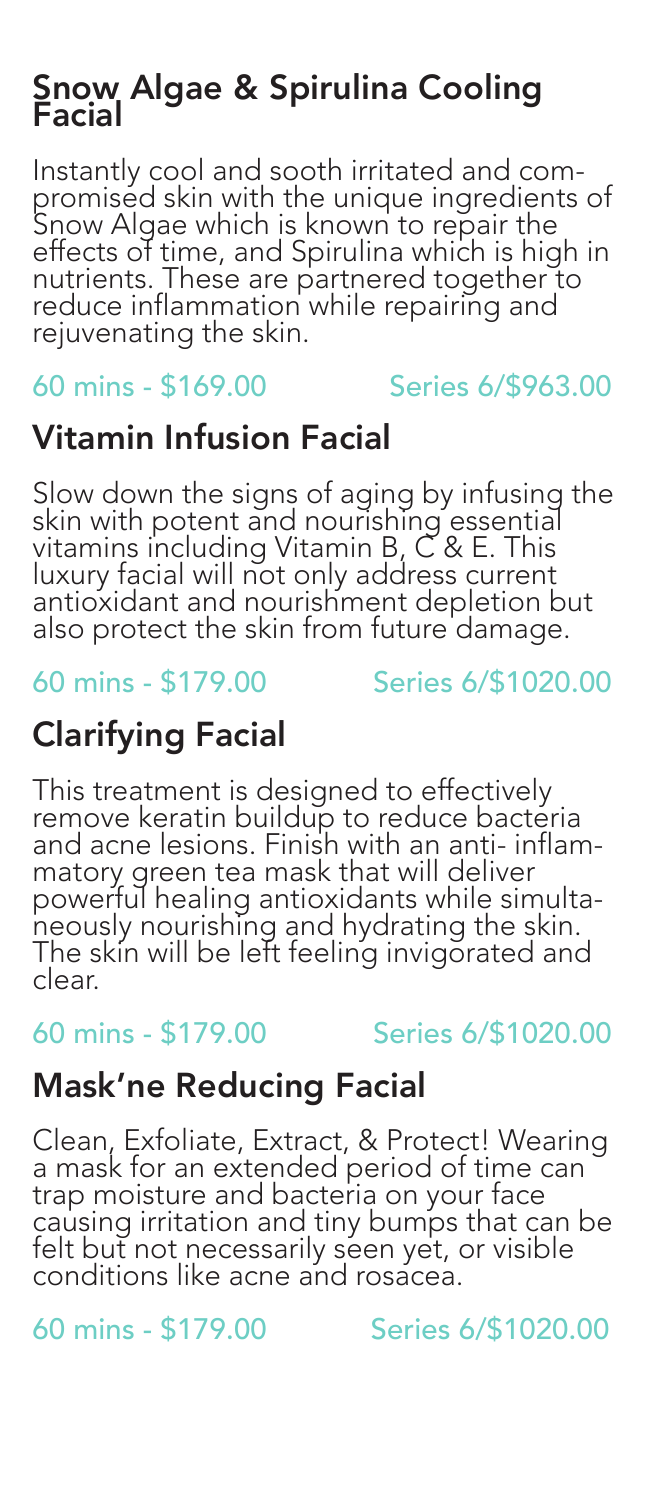#### Snow Algae & Spirulina Cooling Facial

Instantly cool and sooth irritated and com- promised skin with the unique ingredients of Snow Algae which is known to repair the effects of time, and Spirulina which is high in nutrients. These are partnered together to reduce inflammation while repairing and rejuvenating the skin.

60 mins - \$169.00 Series 6/\$963.00

# Vitamin Infusion Facial

Slow down the signs of aging by infusing the skin with potent and nourishing essential vitamins including Vitamin B, C & E. This luxury facial will not only address current antioxidant and nourishment depletion but also protect the skin from future damage.

60 mins - \$179.00 Series 6/\$1020.00

# Clarifying Facial

This treatment is designed to effectively remove keratin buildup to reduce bactéria<br>and acne lesions. Finish with an anti- inflamand acre resions. Finish with an annum<br>matory green tea mask that will deliver<br>powerful healing antioxidants while simultapowerful healing antioxidants while simulta-<br>neously nourishing and hydrating the skin. The skin will be left feeling invigorated and clear.

60 mins - \$179.00 Series 6/\$1020.00

# Mask'ne Reducing Facial

Clean, Exfoliate, Extract, & Protect! Wearing a mask for an extended period of time can trap moisture and bacteria on your face causing irritation and tiny bumps that can be felt but not necessarily seen yet, or visible conditions like acne and rosacea.

60 mins - \$179.00 Series 6/\$1020.00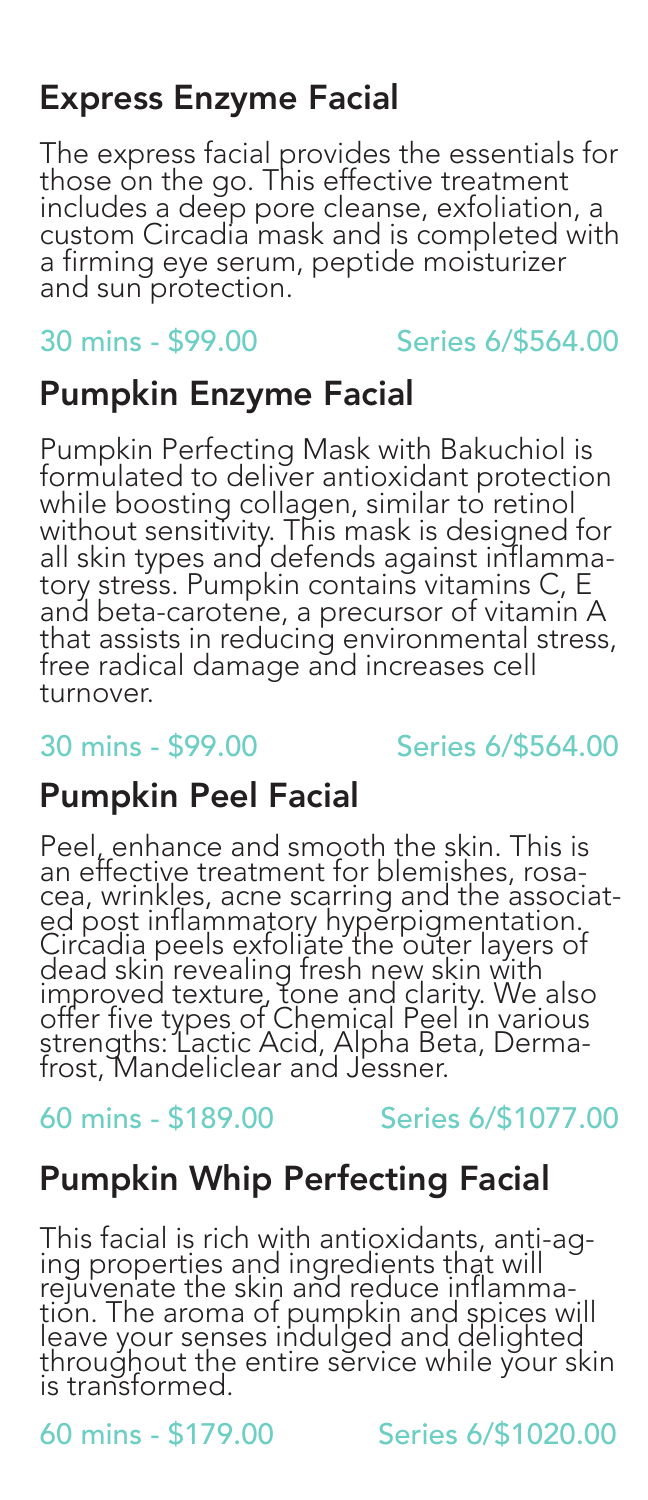## Express Enzyme Facial

The express facial provides the essentials for those on the go. This effective treatment includes a deep pore cleanse, exfoliation, a custom Circadia mask and is completed with a firming eye serum, peptide moisturizer and sun protection.

#### 30 mins - \$99.00 Series 6/\$564.00

#### Pumpkin Enzyme Facial

Pumpkin Perfecting Mask with Bakuchiol is formulated to deliver antioxidant protection while boosting collagen, similar to retinol without sensitivity. This mask is designed for all skin types and defends against inflamma- tory stress. Pumpkin contains vitamins C, E and beta-carotene, a precursor of vitamin A that assists in reducing environmental stress, free radical damage and increases cell turnover.

30 mins - \$99.00 Series 6/\$564.00

### Pumpkin Peel Facial

Peel, enhance and smooth the skin. This is<br>an effective treatment for blemishes, rosaan effective treatment for blemishes, rosa-<br>cea, wrinkles, acne scarring and the associat-<br>ed post inflammatory hyperpigmentation. Circadia peels exfoliate the outer layers of dead skin revealing fresh new skin with improved texture, tone and clarity. We also offer five types of Chemical Peel in various strengths: Lactic Acid, Alpha Beta, Derma- frost, Mandeliclear and Jessner.

#### 60 mins - \$189.00 Series 6/\$1077.00

### Pumpkin Whip Perfecting Facial

This facial is rich with antioxidants, anti-ag-<br>ing properties and ingredients that will rejuvenate the skin and reduce inflamma-<br>tion. The aroma of pumpkin and spices will leave your senses indulged and delighted throughout the entire service while your skin is transformed.

60 mins - \$179.00 Series 6/\$1020.00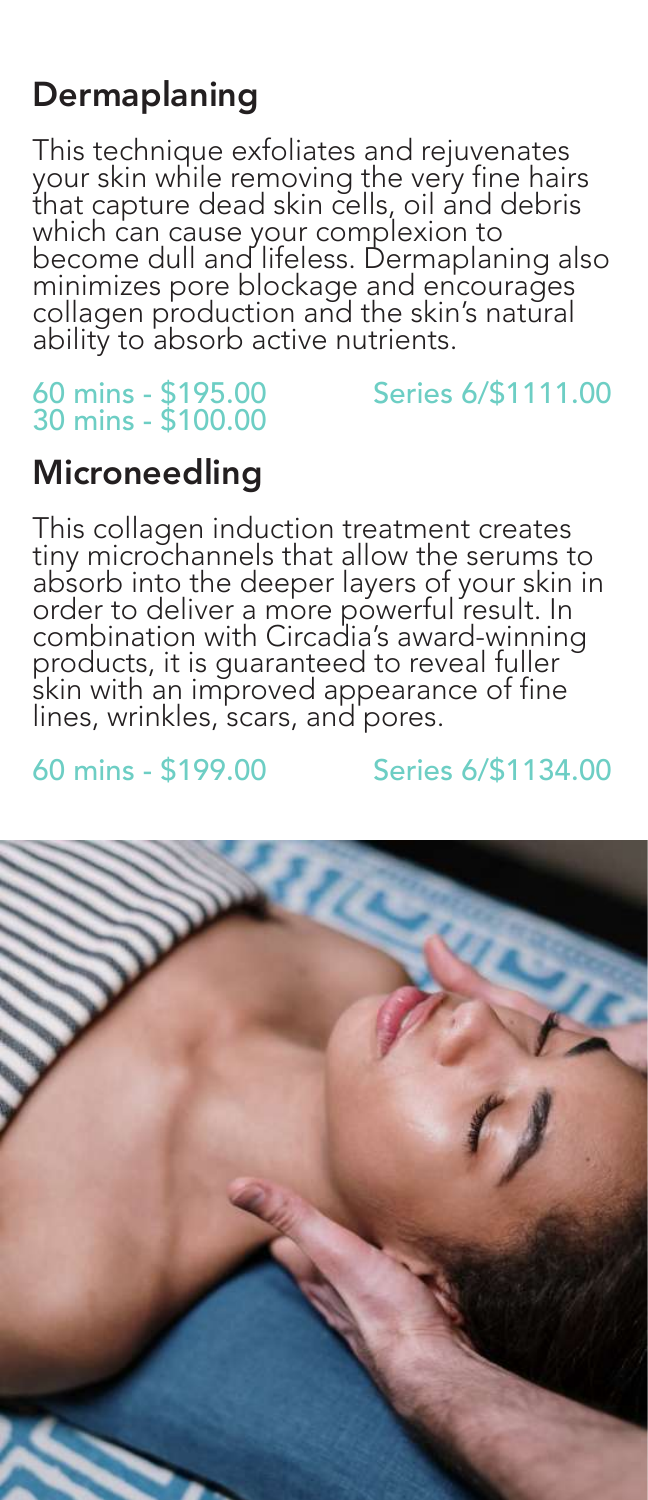# Dermaplaning

This technique exfoliates and rejuvenates your skin while removing the very fine hairs that capture dead skin cells, oil and debris which can cause your complexion to become dull and lifeless. Dermaplaning also minimizes pore blockage and encourages collagen production and the skin's natural ability to absorb active nutrients.

#### 60 mins - \$195.00 Series 6/\$1111.00 30 mins - \$100.00

## Microneedling

This collagen induction treatment creates tiny microchannels that allow the serums to absorb into the deeper layers of your skin in order to deliver a more powerful result. In combination with Circadia's award-winning products, it is guaranteed to reveal fuller skin with an improved appearance of fine lines, wrinkles, scars, and pores.

60 mins - \$199.00 Series 6/\$1134.00

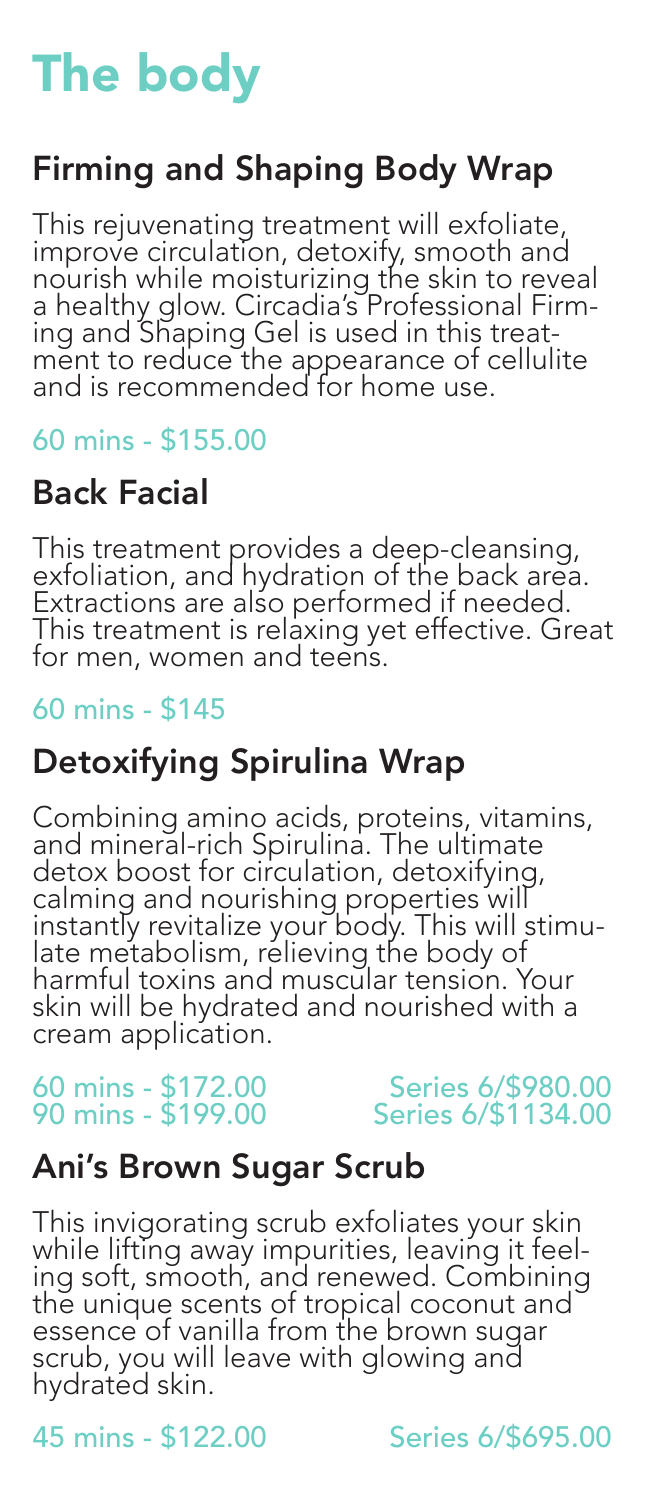# The body

## Firming and Shaping Body Wrap

This rejuvenating treatment will exfoliate, improve circulation, detoxify, smooth and nourish while moisturizing the skin to reveal a healthy glow. Circadia's Professional Firm-<br>ing and Shaping Gel is used in this treat-<br>ment to reduce the appearance of cellulite and is recommended for home use.

### 60 mins - \$155.00

# Back Facial

This treatment provides a deep-cleansing, exfoliation, and hydration of the back area. Extractions are also performed if needed. This treatment is relaxing yet effective. Great for men, women and teens.

#### 60 mins - \$145

# Detoxifying Spirulina Wrap

Combining amino acids, proteins, vitamins, and mineral-rich Spirulina. The ultimate detox boost for circulation, detoxifying, calming and nourishing properties will instantly revitalize your body. This will stimu-<br>late metabolism, relieving the body of harmful toxins and muscular tension. Your skin will be hydrated and nourished with a cream application.

90 mins - \$199.00 Series 6/\$1134.00

60 mins - \$172.00 Series 6/\$980.00

#### Ani's Brown Sugar Scrub

This invigorating scrub exfoliates your skin while lifting away impurities, leaving it feel- ing soft, smooth, and renewed. Combining the unique scents of tropical coconut and essence of vanilla from the brown sugar scrub, you will leave with glowing and hydrated skin.

45 mins - \$122.00 Series 6/\$695.00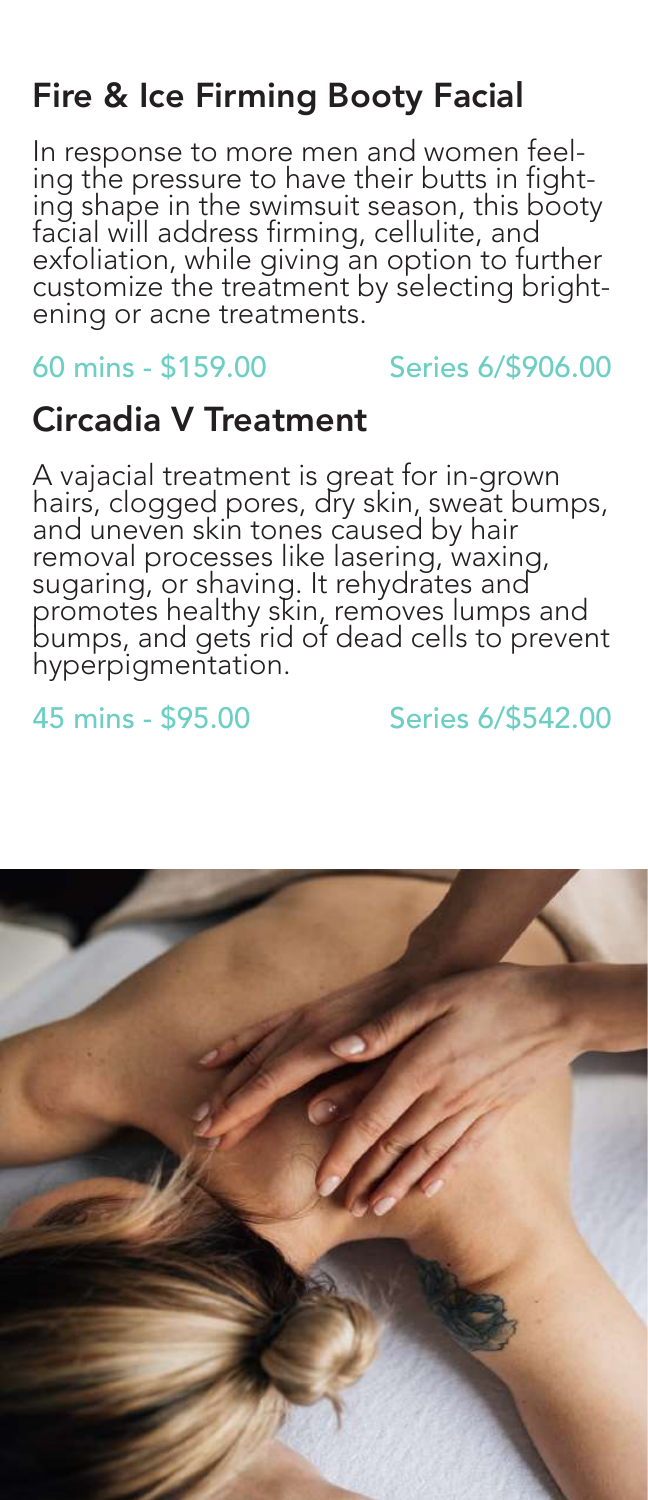# Fire & Ice Firming Booty Facial

In response to more men and women feel-<br>ing the pressure to have their butts in fight-<br>ing shape in the swimsuit season, this booty facial will address firming, cellulite, and exfoliation, while giving an option to further customize the treatment by selecting bright-<br>ening or acne treatments.

#### 60 mins - \$159.00 Series 6/\$906.00

#### Circadia V Treatment

A vajacial treatment is great for in-grown hairs, clogged pores, dry skin, sweat bumps, and uneven skin tones caused by hair removal processes like lasering, waxing, sugaring, or shaving. It rehydrates and promotes healthy skin, removes lumps and bumps, and gets rid of dead cells to prevent hyperpigmentation.

45 mins - \$95.00 Series 6/\$542.00

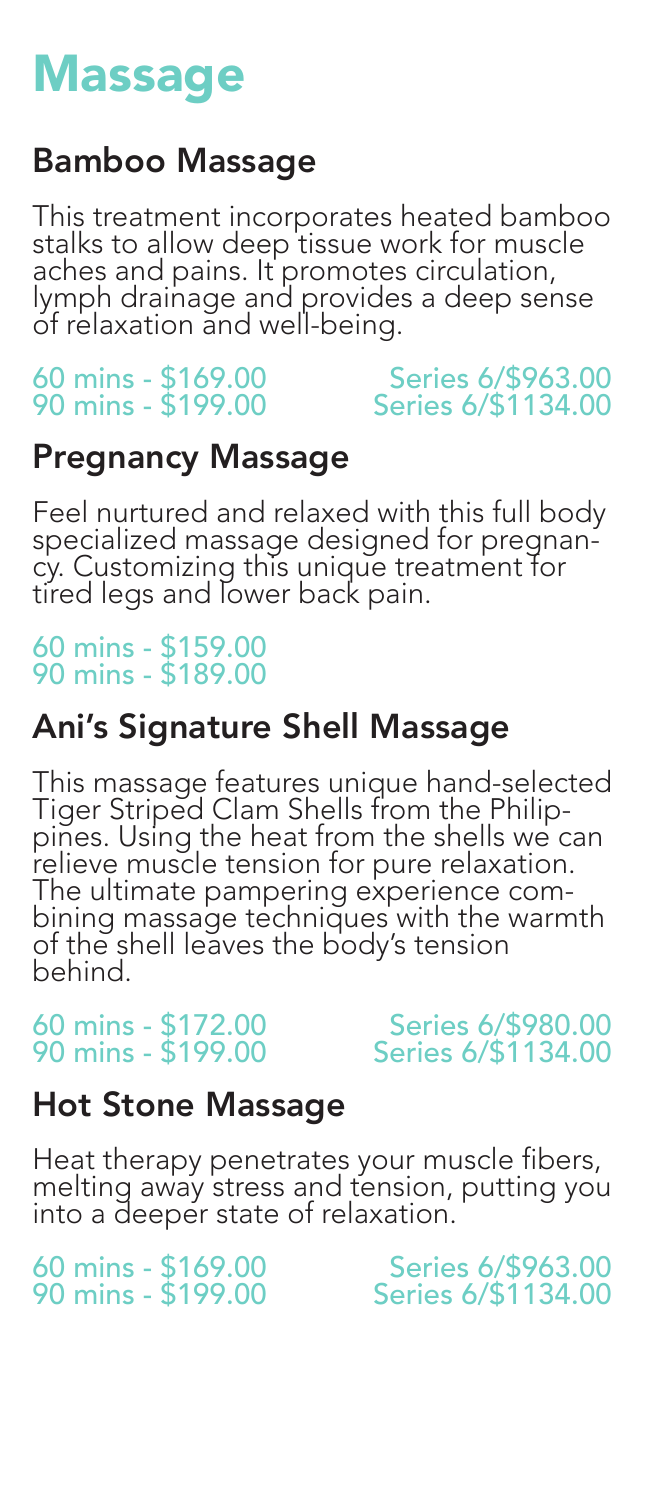# **Massage**

# Bamboo Massage

This treatment incorporates heated bamboo stalks to allow deep tissue work for muscle aches and pains. It promotes circulation, lymph drainage and provides a deep sense of relaxation and well-being.

60 mins - \$169.00 Series 6/\$963.00 90 mins - \$199.00 Series 6/\$1134.00

## Pregnancy Massage

Feel nurtured and relaxed with this full body specialized massage designed for pregnan- cy. Customizing this unique treatment for tired legs and lower back pain.

60 mins - \$159.00 90 mins - \$189.00

## Ani's Signature Shell Massage

This massage features unique hand-selected<br>Tiger Striped Clam Shells from the Philippines. Using the heat from the shells we can relieve muscle tension for pure relaxation. The ultimate pampering experience com- bining massage techniques with the warmth of the shell leaves the body's tension behind.

90 mins - \$199.00 Series 6/\$1134.00

60 mins - \$172.00 Series 6/\$980.00

### Hot Stone Massage

Heat therapy penetrates your muscle fibers, melting away stress and tension, putting you into a deeper state of relaxation.

60 mins - \$169.00 Series 6/\$963.00 Series 6/\$1134.00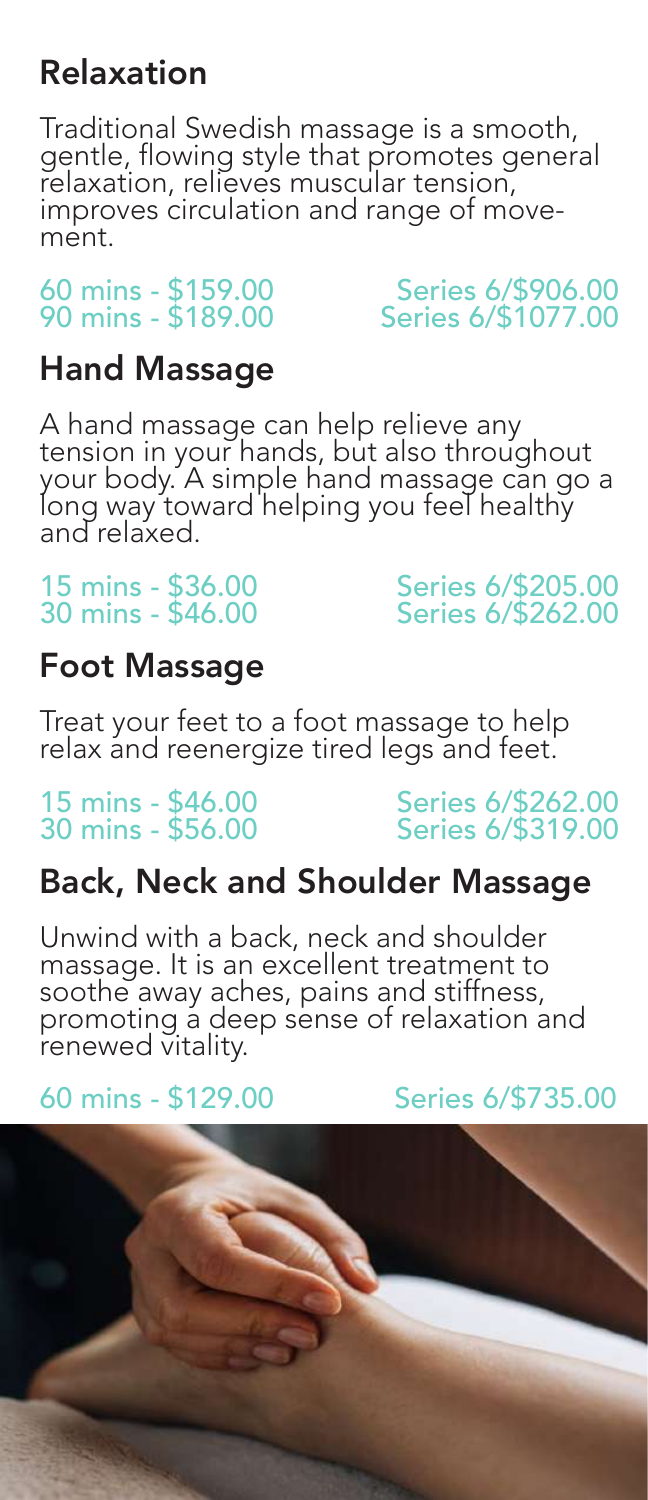# Relaxation

Traditional Swedish massage is a smooth, gentle, flowing style that promotes general relaxation, relieves muscular tension, improves circulation and range of move- ment.

#### 60 mins - \$159.00 Series 6/\$906.00 90 mins - \$189.00 Series 6/\$1077.00

# Hand Massage

A hand massage can help relieve any tension in your hands, but also throughout your body. A simple hand massage can go a long way toward helping you feel healthy and relaxed.

#### 15 mins - \$36.00 Series 6/\$205.00 30 mins - \$46.00 Series 6/\$262.00

# Foot Massage

Treat your feet to a foot massage to help relax and reenergize tired legs and feet.

# 15 mins - \$46.00 Series 6/\$262.00

Series 6/\$319.00

# Back, Neck and Shoulder Massage

Unwind with a back, neck and shoulder massage. It is an excellent treatment to soothe away aches, pains and stiffness, promoting a deep sense of relaxation and renewed vitality.

60 mins - \$129.00 Series 6/\$735.00

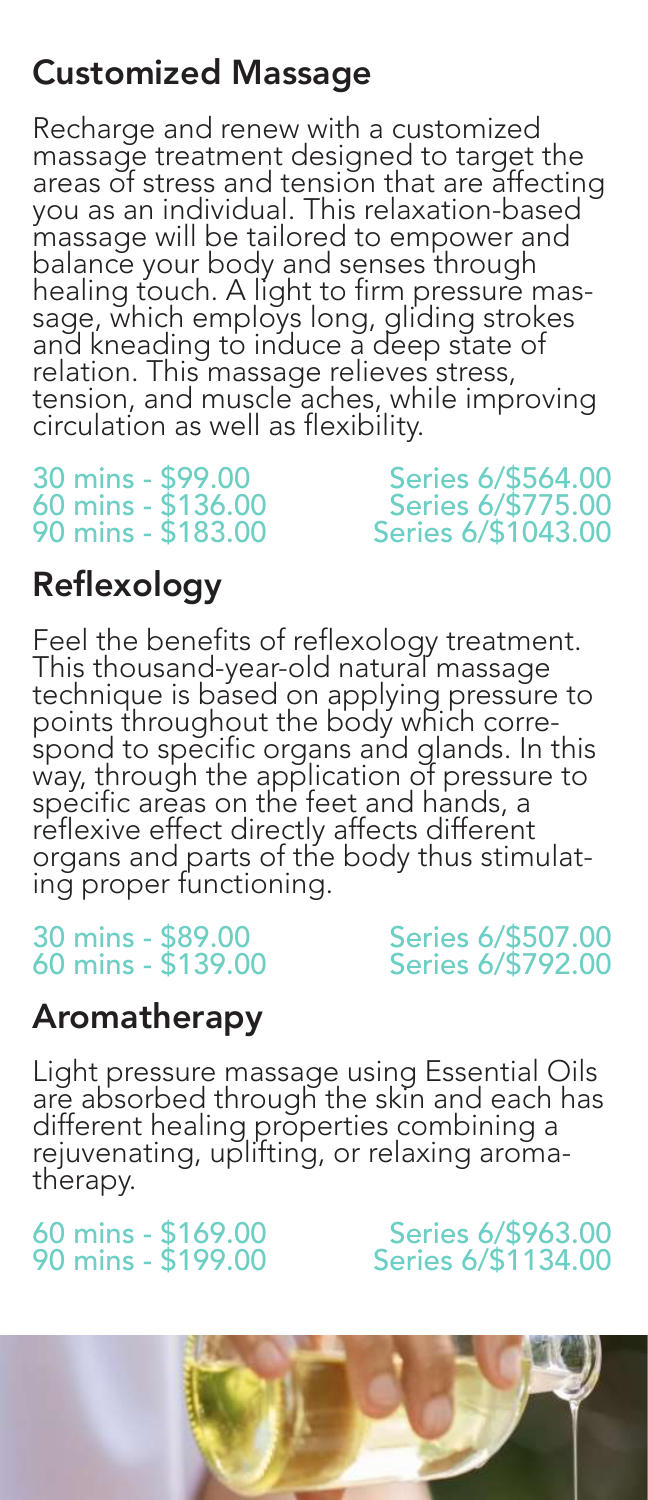# Customized Massage

Recharge and renew with a customized massage treatment designed to target the areas of stress and tension that are affecting you as an individual. This relaxation-based massage will be tailored to empower and balance your body and senses through healing touch. A light to firm pressure mas-<br>sage, which employs long, gliding strokes and kneading to induce a deep state of relation. This massage relieves stress, tension, and muscle aches, while improving circulation as well as flexibility.

30 mins - \$99.00 Series 6/\$564.00<br>60 mins - \$136.00 Series 6/\$775.00<br>90 mins - \$183.00 Series 6/\$1043.00 60 mins - \$136.00 Series 6/\$775.00 90 mins - \$183.00 Series 6/\$1043.00

# Reflexology

Feel the benefits of reflexology treatment. This thousand-year-old natural massage technique is based on applying pressure to points throughout the bodý which corre-<br>spond to specific organs and glands. In this way, through the application of pressure to specific areas on the feet and hands, a reflexive effect directly affects different organs and parts of the body thus stimulat-<br>ing proper functioning.

#### 30 mins - \$89.00 Series 6/\$507.00 60 mins - \$139.00 Series 6/\$792.00

# Aromatherapy

Light pressure massage using Essential Oils are absorbed through the skin and each has different healing properties combining a rejuvenating, uplifting, or relaxing aroma-<br>therapy.

90 mins - \$199.00 Series 6/\$1134.00

60 mins - \$169.00 Series 6/\$963.00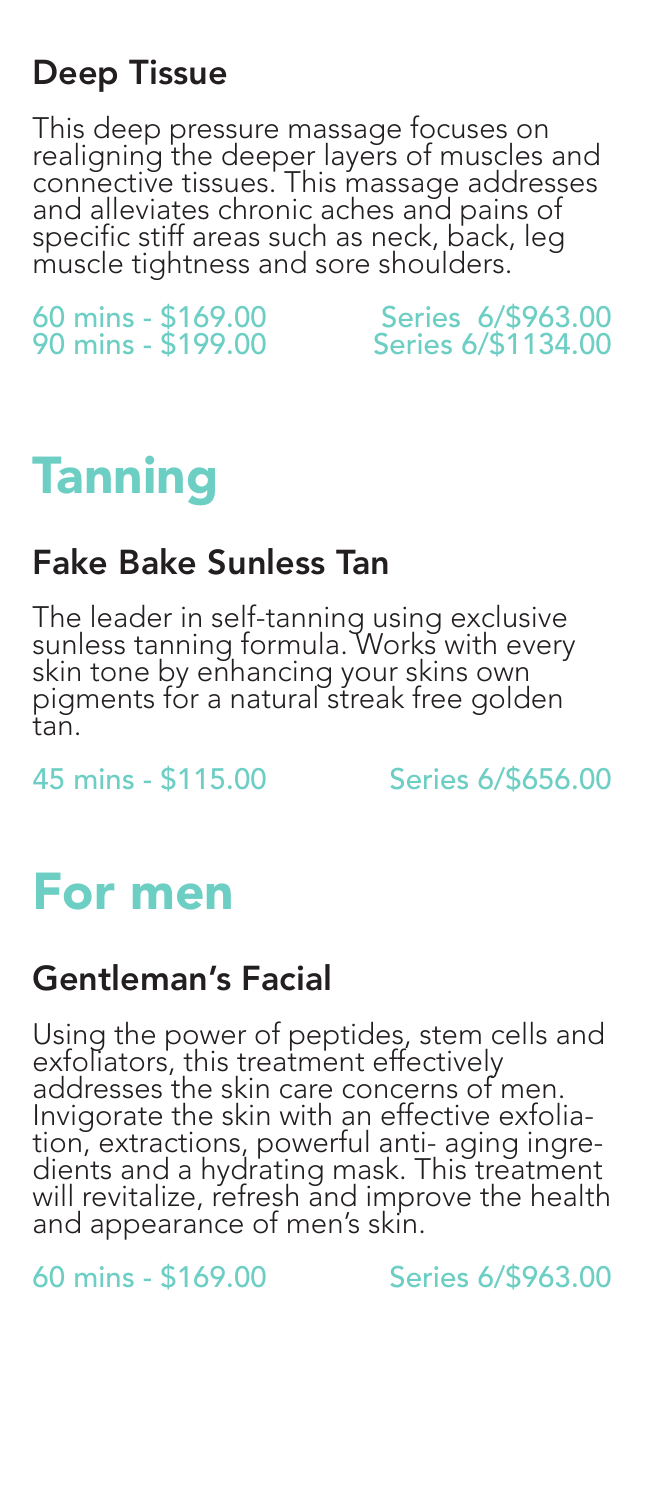# Deep Tissue

This deep pressure massage focuses on realigning the deeper layers of muscles and connective tissues. This massage addresses and alleviates chronic aches and pains of specific stiff areas such as neck, back, leg muscle tightness and sore shoulders.

60 mins - \$169.00 Series 6/\$963.00 90 mins - \$199.00 Series 6/\$1134.00

# Tanning

## Fake Bake Sunless Tan

The leader in self-tanning using exclusive sunless tanning formula. Works with every skin tone by enhancing your skins own pigments for a natural streak free golden tan.

45 mins - \$115.00 Series 6/\$656.00

# For men

### Gentleman's Facial

Using the power of peptides, stem cells and exfoliators, this treatment effectively addresses the skin care concerns of men.<br>Invigorate the skin with an effective exfolia-Invigorate the skin with an effective exfolia-<br>tion, extractions, powerful anti- aging ingre-<br>dients and a hydrating mask. This treatment will revitalize, refresh and improve the health and appearance of men's skin.

60 mins - \$169.00 Series 6/\$963.00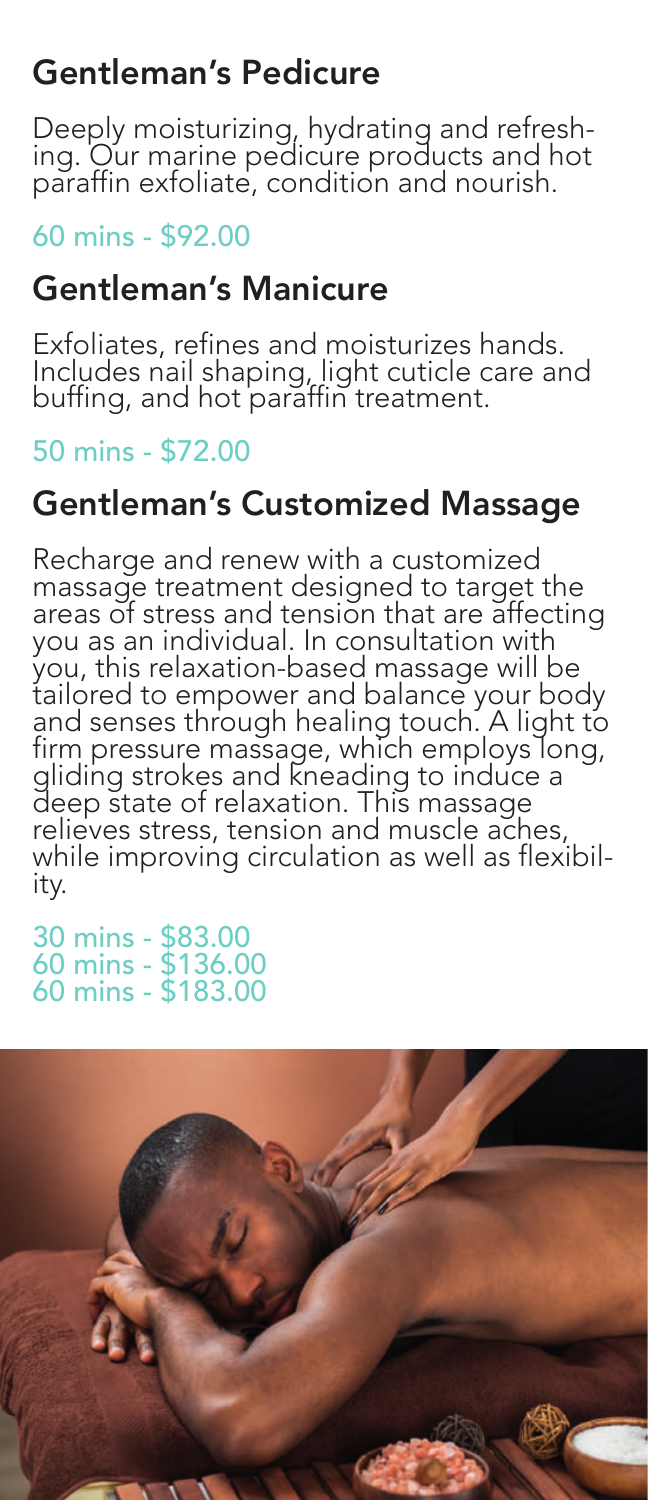# Gentleman's Pedicure

Deeply moisturizing, hydrating and refresh- ing. Our marine pedicure products and hot paraffin exfoliate, condition and nourish.

#### 60 mins - \$92.00

## Gentleman's Manicure

Exfoliates, refines and moisturizes hands. Includes nail shaping, light cuticle care and buffing, and hot paraffin treatment.

### 50 mins - \$72.00

# Gentleman's Customized Massage

Recharge and renew with a customized massage treatment designed to target the areas of stress and tension that are affecting you as an individual. In consultation with you, this relaxation-based massage will be tailored to empower and balance your body and senses through healing touch. A light to firm pressure massage, which employs long, gliding strokes and kneading to induce a deep state of relaxation. This massage relieves stress, tension and muscle aches, while improving circulation as well as flexibil- ity.

30 mins - \$83.00 60 mins - \$136.00 60 mins - \$183.00

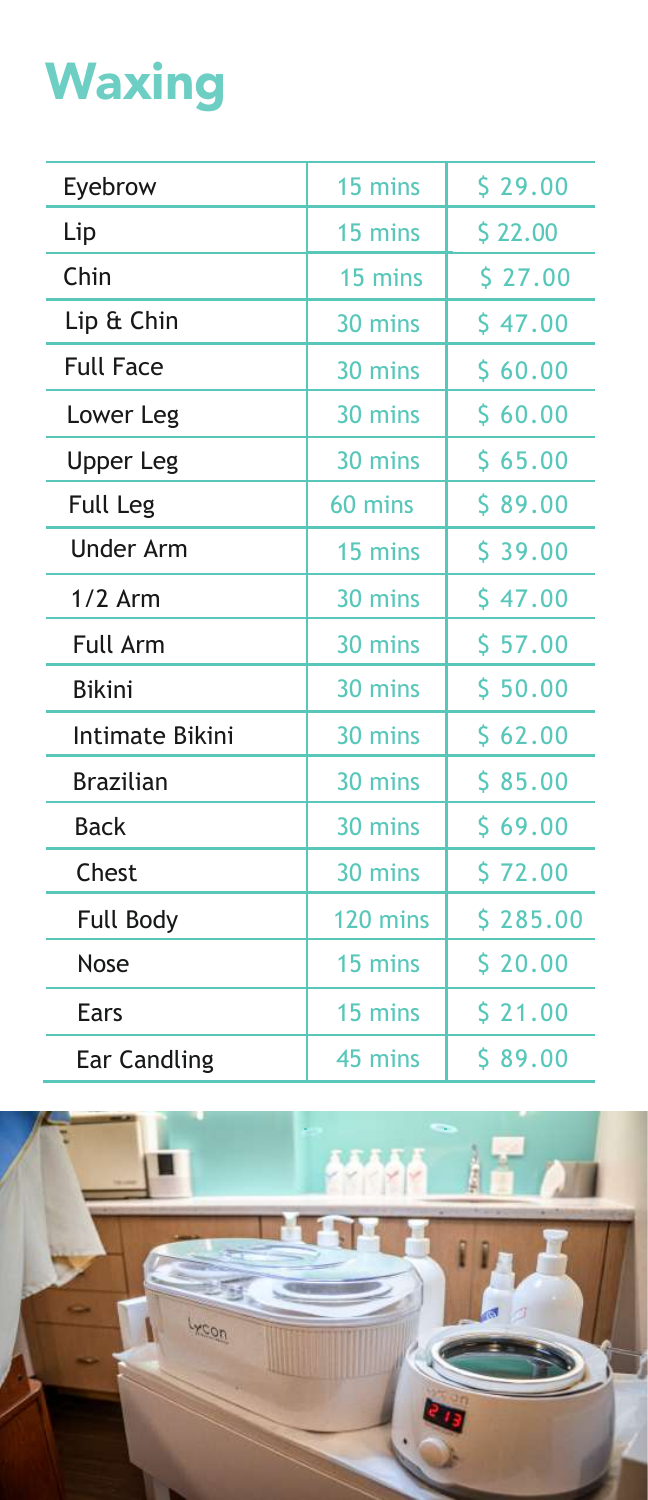# **Waxing**

| Eyebrow             | 15 mins  | \$29.00  |
|---------------------|----------|----------|
| Lip                 | 15 mins  | \$22.00  |
| Chin                | 15 mins  | \$27.00  |
| Lip & Chin          | 30 mins  | \$47.00  |
| <b>Full Face</b>    | 30 mins  | \$60.00  |
| Lower Leg           | 30 mins  | \$60.00  |
| <b>Upper Leg</b>    | 30 mins  | \$65.00  |
| <b>Full Leg</b>     | 60 mins  | \$89.00  |
| Under Arm           | 15 mins  | \$39.00  |
| $1/2$ Arm           | 30 mins  | \$47.00  |
| <b>Full Arm</b>     | 30 mins  | \$57.00  |
| <b>Bikini</b>       | 30 mins  | \$50.00  |
| Intimate Bikini     | 30 mins  | \$62.00  |
| <b>Brazilian</b>    | 30 mins  | \$85.00  |
| <b>Back</b>         | 30 mins  | \$69.00  |
| Chest               | 30 mins  | \$72.00  |
| Full Body           | 120 mins | \$285.00 |
| Nose                | 15 mins  | \$20.00  |
| Ears                | 15 mins  | \$21.00  |
| <b>Ear Candling</b> | 45 mins  | \$89.00  |

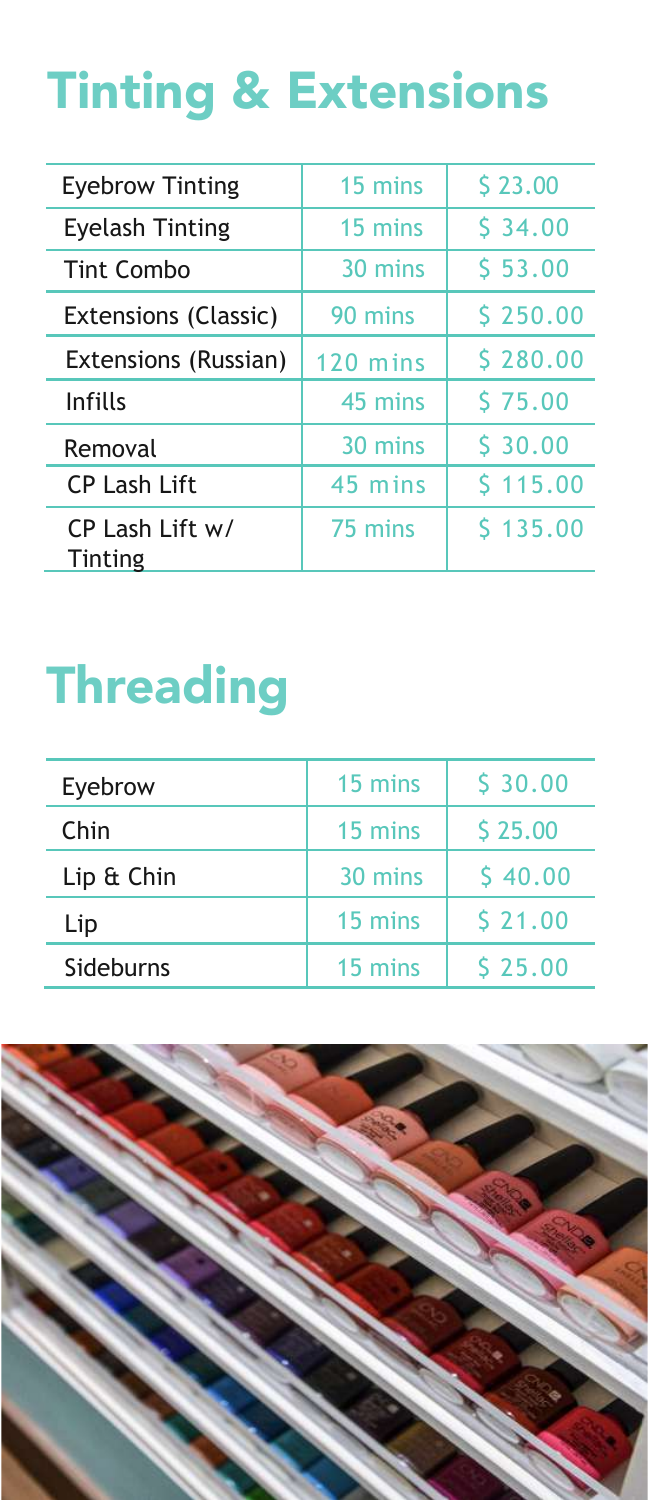# Tinting & Extensions

| <b>Eyebrow Tinting</b>     | 15 mins    | \$23.00  |
|----------------------------|------------|----------|
| <b>Eyelash Tinting</b>     | 15 mins    | \$34.00  |
| Tint Combo                 | 30 mins    | \$53.00  |
| Extensions (Classic)       | 90 mins    | \$250.00 |
| Extensions (Russian)       | $120$ mins | \$280.00 |
| Infills                    | 45 mins    | \$75.00  |
| Removal                    | 30 mins    | \$ 30.00 |
| <b>CP Lash Lift</b>        | 45 mins    | \$115.00 |
| CP Lash Lift w/<br>Tinting | 75 mins    | \$135.00 |

# **Threading**

| Eyebrow    | 15 mins | \$30.00 |
|------------|---------|---------|
| Chin       | 15 mins | \$25.00 |
| Lip & Chin | 30 mins | \$40.00 |
| Lip        | 15 mins | \$21.00 |
| Sideburns  | 15 mins | \$25.00 |